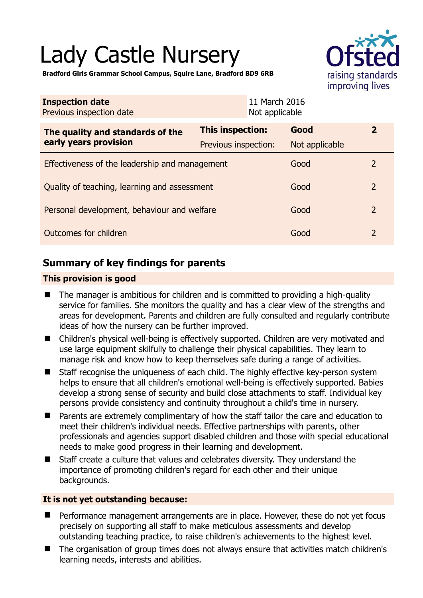# Lady Castle Nursery



**Bradford Girls Grammar School Campus, Squire Lane, Bradford BD9 6RB** 

| <b>Inspection date</b><br>Previous inspection date        | 11 March 2016<br>Not applicable |                |                          |
|-----------------------------------------------------------|---------------------------------|----------------|--------------------------|
| The quality and standards of the<br>early years provision | <b>This inspection:</b>         | Good           | $\mathbf{2}$             |
|                                                           | Previous inspection:            | Not applicable |                          |
| Effectiveness of the leadership and management            |                                 | Good           | $\overline{2}$           |
| Quality of teaching, learning and assessment              |                                 | Good           | $\overline{\phantom{0}}$ |
| Personal development, behaviour and welfare               |                                 | Good           | $\overline{2}$           |
| Outcomes for children                                     |                                 | Good           | $\overline{2}$           |

## **Summary of key findings for parents**

#### **This provision is good**

- The manager is ambitious for children and is committed to providing a high-quality service for families. She monitors the quality and has a clear view of the strengths and areas for development. Parents and children are fully consulted and regularly contribute ideas of how the nursery can be further improved.
- Children's physical well-being is effectively supported. Children are very motivated and use large equipment skilfully to challenge their physical capabilities. They learn to manage risk and know how to keep themselves safe during a range of activities.
- Staff recognise the uniqueness of each child. The highly effective key-person system helps to ensure that all children's emotional well-being is effectively supported. Babies develop a strong sense of security and build close attachments to staff. Individual key persons provide consistency and continuity throughout a child's time in nursery.
- Parents are extremely complimentary of how the staff tailor the care and education to meet their children's individual needs. Effective partnerships with parents, other professionals and agencies support disabled children and those with special educational needs to make good progress in their learning and development.
- Staff create a culture that values and celebrates diversity. They understand the importance of promoting children's regard for each other and their unique backgrounds.

#### **It is not yet outstanding because:**

- **Performance management arrangements are in place. However, these do not yet focus** precisely on supporting all staff to make meticulous assessments and develop outstanding teaching practice, to raise children's achievements to the highest level.
- The organisation of group times does not always ensure that activities match children's learning needs, interests and abilities.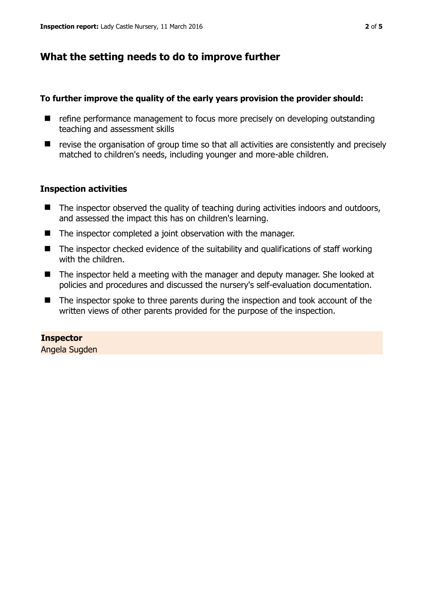## **What the setting needs to do to improve further**

#### **To further improve the quality of the early years provision the provider should:**

- refine performance management to focus more precisely on developing outstanding teaching and assessment skills
- $\blacksquare$  revise the organisation of group time so that all activities are consistently and precisely matched to children's needs, including younger and more-able children.

#### **Inspection activities**

- The inspector observed the quality of teaching during activities indoors and outdoors, and assessed the impact this has on children's learning.
- The inspector completed a joint observation with the manager.
- The inspector checked evidence of the suitability and qualifications of staff working with the children.
- The inspector held a meeting with the manager and deputy manager. She looked at policies and procedures and discussed the nursery's self-evaluation documentation.
- The inspector spoke to three parents during the inspection and took account of the written views of other parents provided for the purpose of the inspection.

#### **Inspector**

Angela Sugden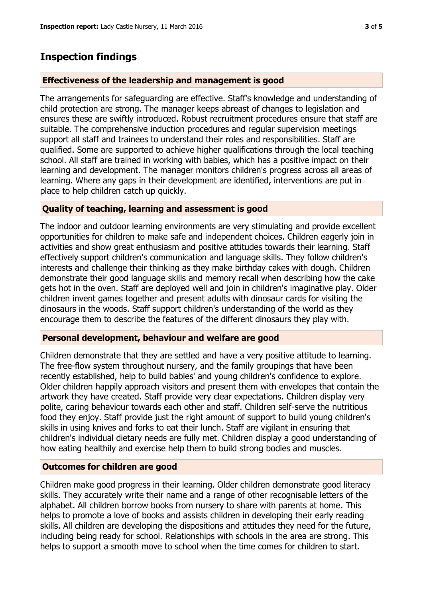## **Inspection findings**

#### **Effectiveness of the leadership and management is good**

The arrangements for safeguarding are effective. Staff's knowledge and understanding of child protection are strong. The manager keeps abreast of changes to legislation and ensures these are swiftly introduced. Robust recruitment procedures ensure that staff are suitable. The comprehensive induction procedures and regular supervision meetings support all staff and trainees to understand their roles and responsibilities. Staff are qualified. Some are supported to achieve higher qualifications through the local teaching school. All staff are trained in working with babies, which has a positive impact on their learning and development. The manager monitors children's progress across all areas of learning. Where any gaps in their development are identified, interventions are put in place to help children catch up quickly.

#### **Quality of teaching, learning and assessment is good**

The indoor and outdoor learning environments are very stimulating and provide excellent opportunities for children to make safe and independent choices. Children eagerly join in activities and show great enthusiasm and positive attitudes towards their learning. Staff effectively support children's communication and language skills. They follow children's interests and challenge their thinking as they make birthday cakes with dough. Children demonstrate their good language skills and memory recall when describing how the cake gets hot in the oven. Staff are deployed well and join in children's imaginative play. Older children invent games together and present adults with dinosaur cards for visiting the dinosaurs in the woods. Staff support children's understanding of the world as they encourage them to describe the features of the different dinosaurs they play with.

#### **Personal development, behaviour and welfare are good**

Children demonstrate that they are settled and have a very positive attitude to learning. The free-flow system throughout nursery, and the family groupings that have been recently established, help to build babies' and young children's confidence to explore. Older children happily approach visitors and present them with envelopes that contain the artwork they have created. Staff provide very clear expectations. Children display very polite, caring behaviour towards each other and staff. Children self-serve the nutritious food they enjoy. Staff provide just the right amount of support to build young children's skills in using knives and forks to eat their lunch. Staff are vigilant in ensuring that children's individual dietary needs are fully met. Children display a good understanding of how eating healthily and exercise help them to build strong bodies and muscles.

#### **Outcomes for children are good**

Children make good progress in their learning. Older children demonstrate good literacy skills. They accurately write their name and a range of other recognisable letters of the alphabet. All children borrow books from nursery to share with parents at home. This helps to promote a love of books and assists children in developing their early reading skills. All children are developing the dispositions and attitudes they need for the future, including being ready for school. Relationships with schools in the area are strong. This helps to support a smooth move to school when the time comes for children to start.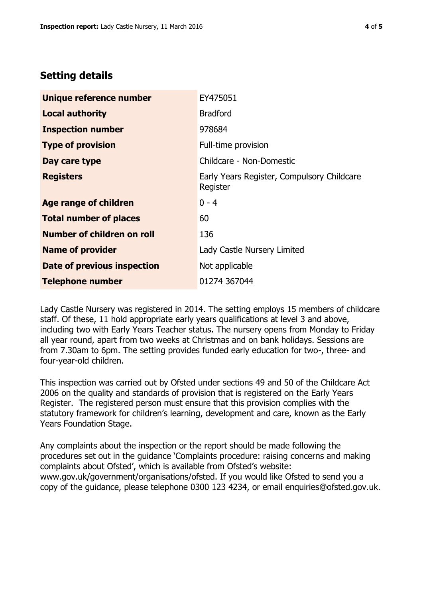## **Setting details**

| Unique reference number       | EY475051                                               |  |
|-------------------------------|--------------------------------------------------------|--|
| <b>Local authority</b>        | <b>Bradford</b>                                        |  |
| <b>Inspection number</b>      | 978684                                                 |  |
| <b>Type of provision</b>      | Full-time provision                                    |  |
| Day care type                 | Childcare - Non-Domestic                               |  |
| <b>Registers</b>              | Early Years Register, Compulsory Childcare<br>Register |  |
| <b>Age range of children</b>  | $0 - 4$                                                |  |
| <b>Total number of places</b> | 60                                                     |  |
| Number of children on roll    | 136                                                    |  |
| <b>Name of provider</b>       | Lady Castle Nursery Limited                            |  |
| Date of previous inspection   | Not applicable                                         |  |
| <b>Telephone number</b>       | 01274 367044                                           |  |

Lady Castle Nursery was registered in 2014. The setting employs 15 members of childcare staff. Of these, 11 hold appropriate early years qualifications at level 3 and above, including two with Early Years Teacher status. The nursery opens from Monday to Friday all year round, apart from two weeks at Christmas and on bank holidays. Sessions are from 7.30am to 6pm. The setting provides funded early education for two-, three- and four-year-old children.

This inspection was carried out by Ofsted under sections 49 and 50 of the Childcare Act 2006 on the quality and standards of provision that is registered on the Early Years Register. The registered person must ensure that this provision complies with the statutory framework for children's learning, development and care, known as the Early Years Foundation Stage.

Any complaints about the inspection or the report should be made following the procedures set out in the guidance 'Complaints procedure: raising concerns and making complaints about Ofsted', which is available from Ofsted's website: www.gov.uk/government/organisations/ofsted. If you would like Ofsted to send you a copy of the guidance, please telephone 0300 123 4234, or email enquiries@ofsted.gov.uk.